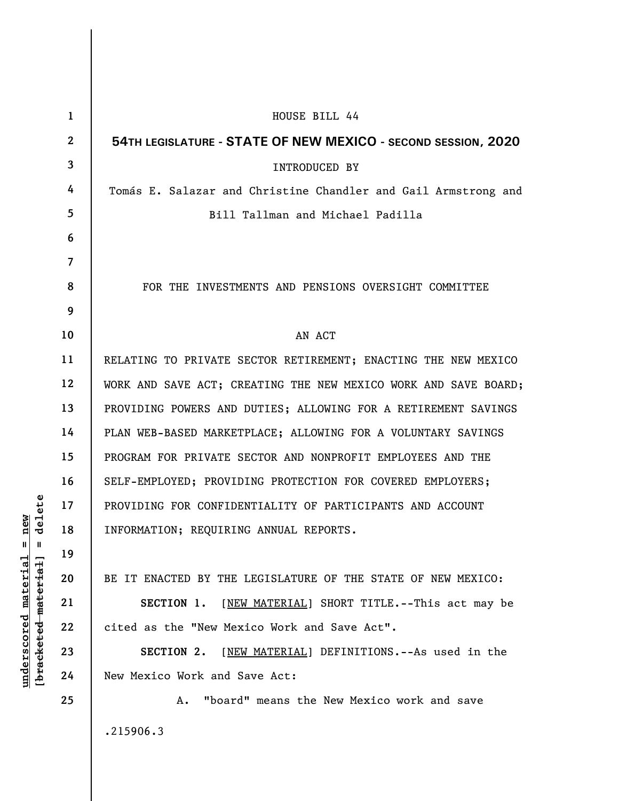| $\mathbf 1$ | HOUSE BILL 44                                                   |
|-------------|-----------------------------------------------------------------|
| $\mathbf 2$ | 54TH LEGISLATURE - STATE OF NEW MEXICO - SECOND SESSION, 2020   |
| 3           | <b>INTRODUCED BY</b>                                            |
| 4           | Tomás E. Salazar and Christine Chandler and Gail Armstrong and  |
| 5           | Bill Tallman and Michael Padilla                                |
| 6           |                                                                 |
| 7           |                                                                 |
| 8           | FOR THE INVESTMENTS AND PENSIONS OVERSIGHT COMMITTEE            |
| 9           |                                                                 |
| 10          | AN ACT                                                          |
| 11          | RELATING TO PRIVATE SECTOR RETIREMENT; ENACTING THE NEW MEXICO  |
| 12          | WORK AND SAVE ACT; CREATING THE NEW MEXICO WORK AND SAVE BOARD; |
| 13          | PROVIDING POWERS AND DUTIES; ALLOWING FOR A RETIREMENT SAVINGS  |
| 14          | PLAN WEB-BASED MARKETPLACE; ALLOWING FOR A VOLUNTARY SAVINGS    |
| 15          | PROGRAM FOR PRIVATE SECTOR AND NONPROFIT EMPLOYEES AND THE      |
| 16          | SELF-EMPLOYED; PROVIDING PROTECTION FOR COVERED EMPLOYERS;      |
| 17          | PROVIDING FOR CONFIDENTIALITY OF PARTICIPANTS AND ACCOUNT       |
| 18          | INFORMATION; REQUIRING ANNUAL REPORTS.                          |
| 19          |                                                                 |
| 20          | BE IT ENACTED BY THE LEGISLATURE OF THE STATE OF NEW MEXICO:    |
| 21          | SECTION 1. [NEW MATERIAL] SHORT TITLE. -- This act may be       |
| 22          | cited as the "New Mexico Work and Save Act".                    |
| 23          | SECTION 2. [NEW MATERIAL] DEFINITIONS.--As used in the          |
| 24          | New Mexico Work and Save Act:                                   |
| 25          | "board" means the New Mexico work and save<br>Α.                |
|             | .215906.3                                                       |

 $[**bracket eted metert et**] = **del et e**$ **[bracketed material] = delete**  $underscored material = new$ **underscored material = new**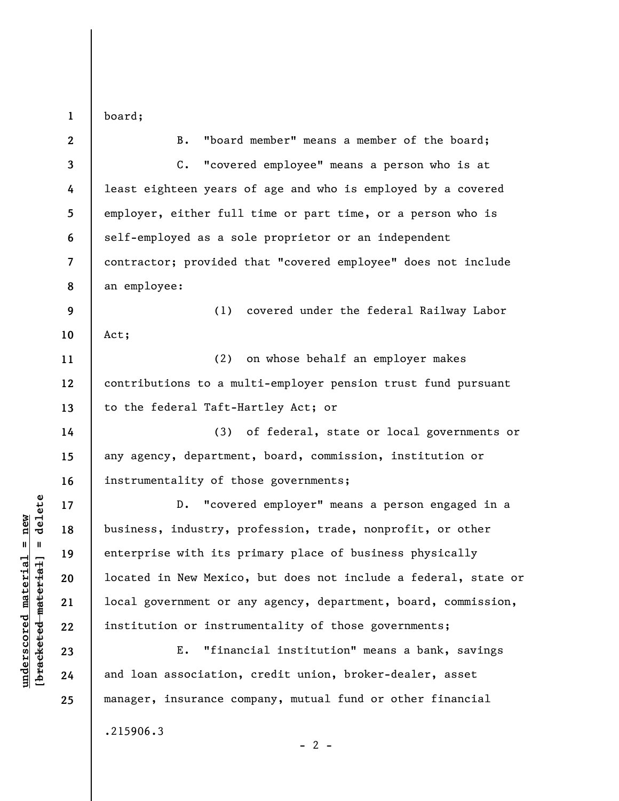**1**  board;

| $\mathbf{2}$   | "board member" means a member of the board;<br>$B$ .            |
|----------------|-----------------------------------------------------------------|
| $\mathbf{3}$   | C. "covered employee" means a person who is at                  |
| 4              | least eighteen years of age and who is employed by a covered    |
| 5              | employer, either full time or part time, or a person who is     |
| 6              | self-employed as a sole proprietor or an independent            |
| $\overline{7}$ | contractor; provided that "covered employee" does not include   |
| 8              | an employee:                                                    |
| 9              | (1) covered under the federal Railway Labor                     |
| 10             | Act;                                                            |
| 11             | (2) on whose behalf an employer makes                           |
| 12             | contributions to a multi-employer pension trust fund pursuant   |
| 13             | to the federal Taft-Hartley Act; or                             |
| 14             | (3) of federal, state or local governments or                   |
| 15             | any agency, department, board, commission, institution or       |
| 16             | instrumentality of those governments;                           |
| 17             | "covered employer" means a person engaged in a<br>$D$ .         |
| 18             | business, industry, profession, trade, nonprofit, or other      |
| 19             | enterprise with its primary place of business physically        |
| 20             | located in New Mexico, but does not include a federal, state or |
| 21             | local government or any agency, department, board, commission,  |
| 22             | institution or instrumentality of those governments;            |
| 23             | "financial institution" means a bank, savings<br>$E$ .          |
| 24             | and loan association, credit union, broker-dealer, asset        |
| 25             | manager, insurance company, mutual fund or other financial      |
|                | .215906.3                                                       |

 $[**bracket**et~~eted matcherial~~] = **delete**$ **[bracketed material] = delete**  $underscored material = new$ **underscored material = new**

 $- 2 -$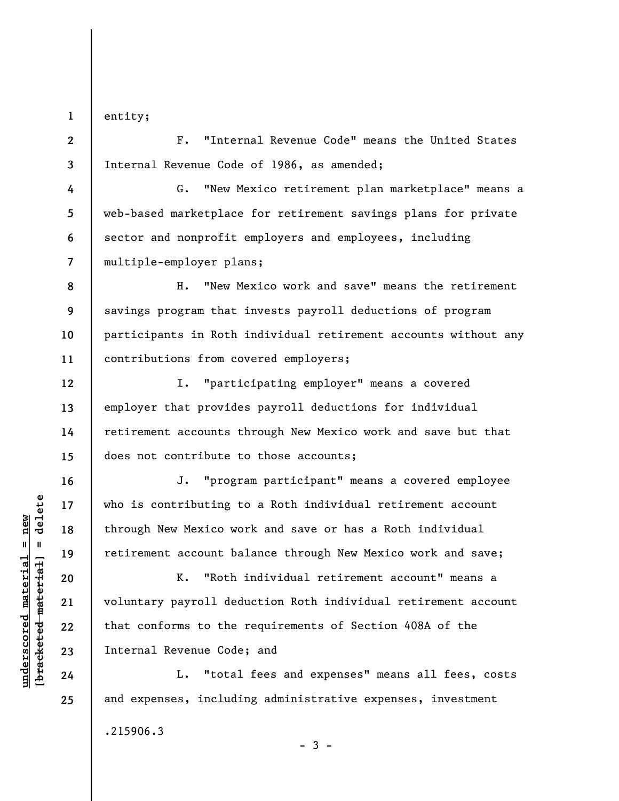**1**  entity;

**2** 

**3** 

**4** 

**5** 

**6** 

**12** 

**13** 

**14** 

**15** 

**16** 

**17** 

**18** 

**19** 

**20** 

**21** 

**22** 

**23** 

**24** 

**25** 

F. "Internal Revenue Code" means the United States Internal Revenue Code of 1986, as amended;

**7**  G. "New Mexico retirement plan marketplace" means a web-based marketplace for retirement savings plans for private sector and nonprofit employers and employees, including multiple-employer plans;

**8 9 10 11**  H. "New Mexico work and save" means the retirement savings program that invests payroll deductions of program participants in Roth individual retirement accounts without any contributions from covered employers;

I. "participating employer" means a covered employer that provides payroll deductions for individual retirement accounts through New Mexico work and save but that does not contribute to those accounts;

J. "program participant" means a covered employee who is contributing to a Roth individual retirement account through New Mexico work and save or has a Roth individual retirement account balance through New Mexico work and save;

K. "Roth individual retirement account" means a voluntary payroll deduction Roth individual retirement account that conforms to the requirements of Section 408A of the Internal Revenue Code; and

L. "total fees and expenses" means all fees, costs and expenses, including administrative expenses, investment

 $-3 -$ 

.215906.3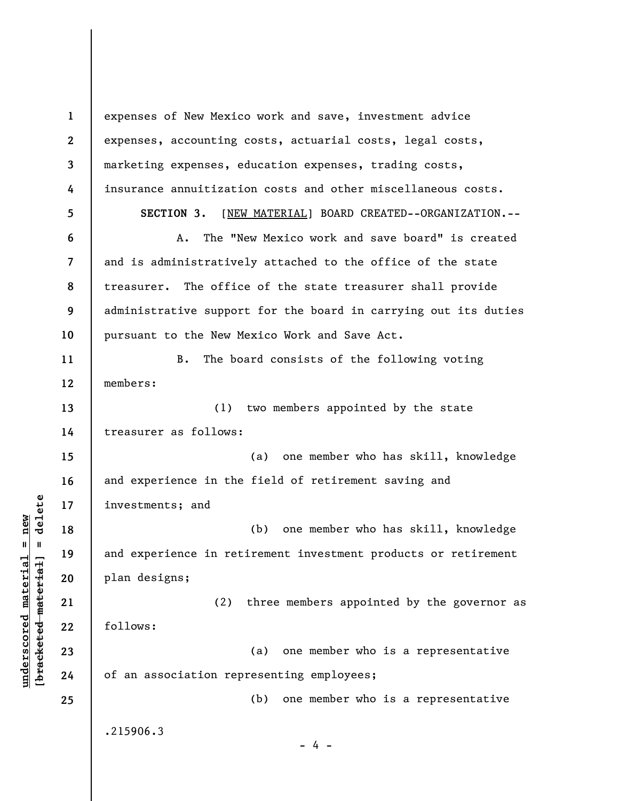**1 2 3 4 5 6 7 8 9 10 11 12 13 14 15 16 17 18 19 20 21 22 23 24 25**  expenses of New Mexico work and save, investment advice expenses, accounting costs, actuarial costs, legal costs, marketing expenses, education expenses, trading costs, insurance annuitization costs and other miscellaneous costs. **SECTION 3.** [NEW MATERIAL] BOARD CREATED--ORGANIZATION.-- A. The "New Mexico work and save board" is created and is administratively attached to the office of the state treasurer. The office of the state treasurer shall provide administrative support for the board in carrying out its duties pursuant to the New Mexico Work and Save Act. B. The board consists of the following voting members: (1) two members appointed by the state treasurer as follows: (a) one member who has skill, knowledge and experience in the field of retirement saving and investments; and (b) one member who has skill, knowledge and experience in retirement investment products or retirement plan designs; (2) three members appointed by the governor as follows: (a) one member who is a representative of an association representing employees; (b) one member who is a representative .215906.3 - 4 -

**underscored material = new [bracketed material] = delete**

 $\frac{1}{2}$  intereted material = delete  $underscored material = new$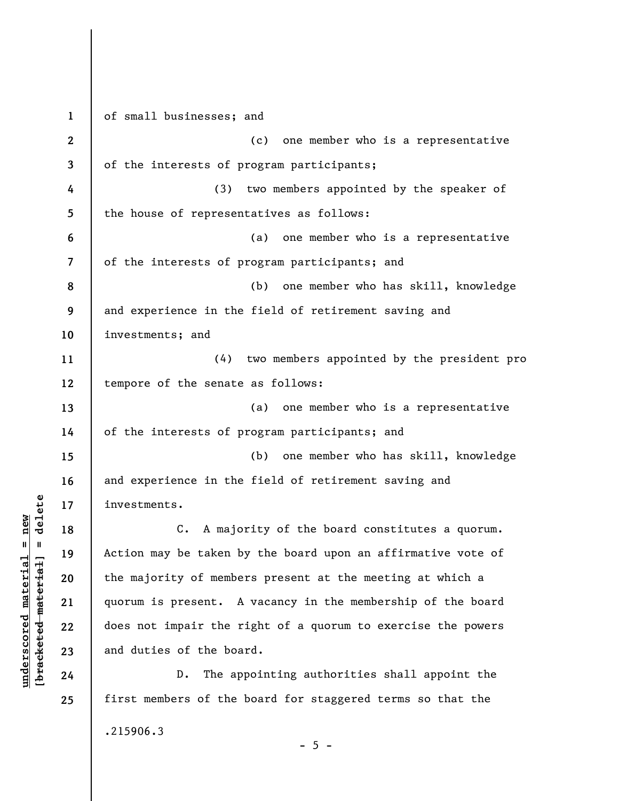**1 2 3 4 5 6 7 8 9 10 11 12 13 14 15 16 17 18 19 20 21 22 23 24 25**  of small businesses; and (c) one member who is a representative of the interests of program participants; (3) two members appointed by the speaker of the house of representatives as follows: (a) one member who is a representative of the interests of program participants; and (b) one member who has skill, knowledge and experience in the field of retirement saving and investments; and (4) two members appointed by the president pro tempore of the senate as follows: (a) one member who is a representative of the interests of program participants; and (b) one member who has skill, knowledge and experience in the field of retirement saving and investments. C. A majority of the board constitutes a quorum. Action may be taken by the board upon an affirmative vote of the majority of members present at the meeting at which a quorum is present. A vacancy in the membership of the board does not impair the right of a quorum to exercise the powers and duties of the board. D. The appointing authorities shall appoint the first members of the board for staggered terms so that the .215906.3

 $\frac{1}{2}$  intereted material = delete **[bracketed material] = delete**  $underscored material = new$ **underscored material = new**

 $- 5 -$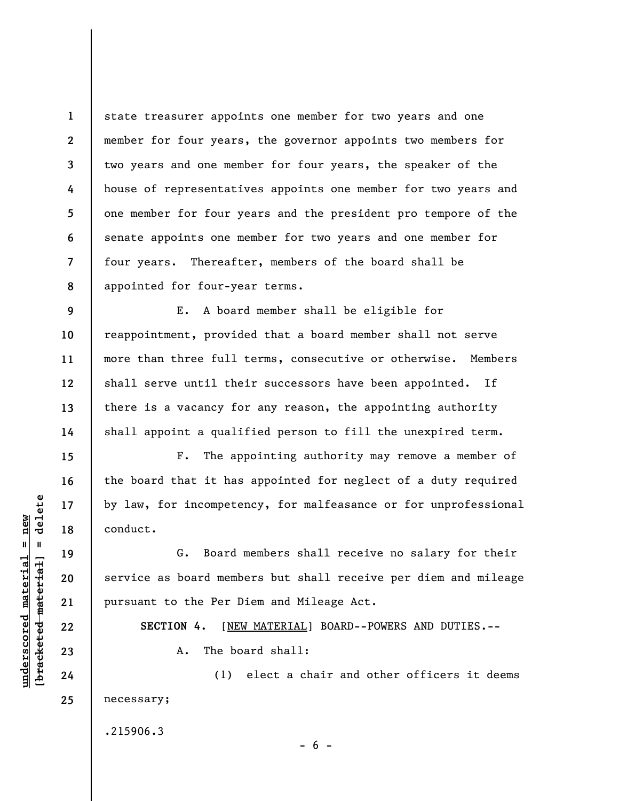**1 2 3 4 5 6 7 8**  state treasurer appoints one member for two years and one member for four years, the governor appoints two members for two years and one member for four years, the speaker of the house of representatives appoints one member for two years and one member for four years and the president pro tempore of the senate appoints one member for two years and one member for four years. Thereafter, members of the board shall be appointed for four-year terms.

E. A board member shall be eligible for reappointment, provided that a board member shall not serve more than three full terms, consecutive or otherwise. Members shall serve until their successors have been appointed. If there is a vacancy for any reason, the appointing authority shall appoint a qualified person to fill the unexpired term.

F. The appointing authority may remove a member of the board that it has appointed for neglect of a duty required by law, for incompetency, for malfeasance or for unprofessional conduct.

G. Board members shall receive no salary for their service as board members but shall receive per diem and mileage pursuant to the Per Diem and Mileage Act.

**SECTION 4.** [NEW MATERIAL] BOARD--POWERS AND DUTIES.--

 $- 6 -$ 

A. The board shall:

(1) elect a chair and other officers it deems necessary;

.215906.3

 $\frac{1}{2}$  intereted material = delete **[bracketed material] = delete**  $underscored material = new$ **underscored material = new**

**9** 

**10** 

**11** 

**12** 

**13** 

**14** 

**15** 

**16** 

**17** 

**18** 

**19** 

**20** 

**21** 

**22** 

**23** 

**24** 

**25**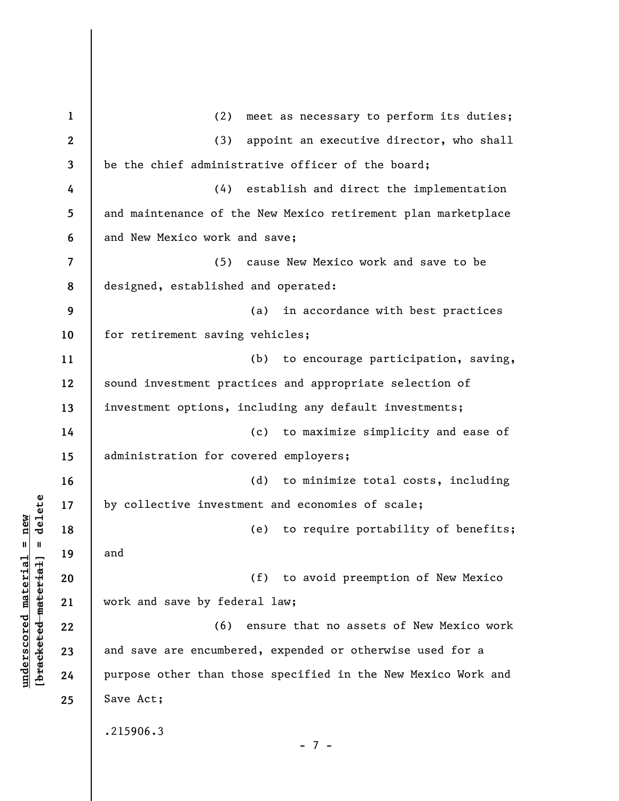**1 2 3 4 5 6 7 8 9 10 11 12 13 14 15 16 17 18 19 20 21 22 23 24 25**  (2) meet as necessary to perform its duties; (3) appoint an executive director, who shall be the chief administrative officer of the board; (4) establish and direct the implementation and maintenance of the New Mexico retirement plan marketplace and New Mexico work and save; (5) cause New Mexico work and save to be designed, established and operated: (a) in accordance with best practices for retirement saving vehicles; (b) to encourage participation, saving, sound investment practices and appropriate selection of investment options, including any default investments; (c) to maximize simplicity and ease of administration for covered employers; (d) to minimize total costs, including by collective investment and economies of scale; (e) to require portability of benefits; and (f) to avoid preemption of New Mexico work and save by federal law; (6) ensure that no assets of New Mexico work and save are encumbered, expended or otherwise used for a purpose other than those specified in the New Mexico Work and Save Act; .215906.3 - 7 -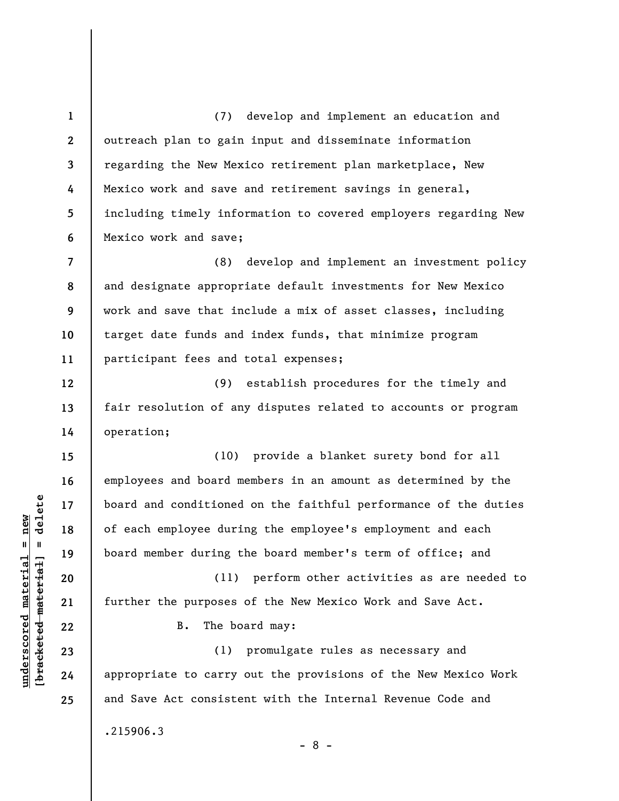**1 2 3 4 5 6 7 8 9 10 11 12 13 14 15 16 17 18 19 20 21 22 23 24 25**  (7) develop and implement an education and outreach plan to gain input and disseminate information regarding the New Mexico retirement plan marketplace, New Mexico work and save and retirement savings in general, including timely information to covered employers regarding New Mexico work and save; (8) develop and implement an investment policy and designate appropriate default investments for New Mexico work and save that include a mix of asset classes, including target date funds and index funds, that minimize program participant fees and total expenses; (9) establish procedures for the timely and fair resolution of any disputes related to accounts or program operation; (10) provide a blanket surety bond for all employees and board members in an amount as determined by the board and conditioned on the faithful performance of the duties of each employee during the employee's employment and each board member during the board member's term of office; and (11) perform other activities as are needed to further the purposes of the New Mexico Work and Save Act. B. The board may: (1) promulgate rules as necessary and appropriate to carry out the provisions of the New Mexico Work and Save Act consistent with the Internal Revenue Code and .215906.3 - 8 -

**underscored material = new [bracketed material] = delete**

 $\frac{1}{2}$  intereted material = delete  $underscored material = new$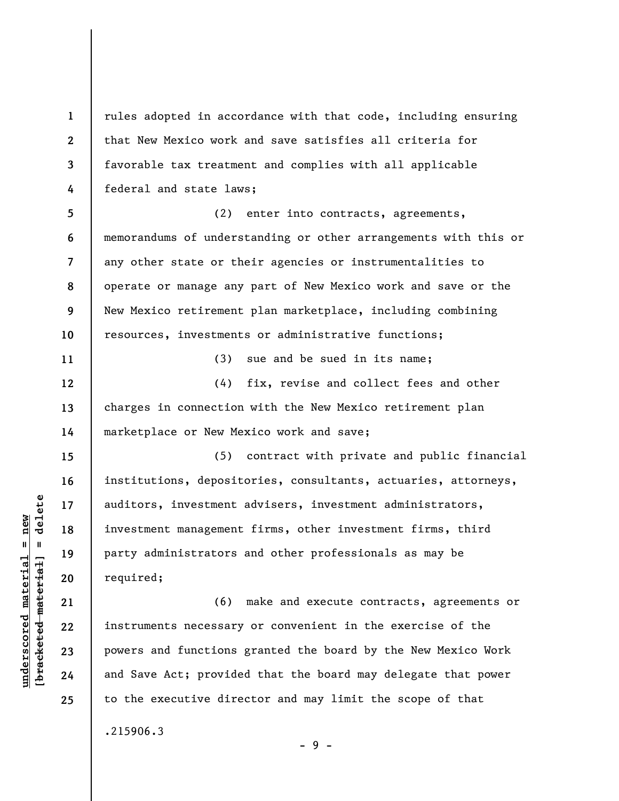**1 2 3 4 5 6 7 8 9 10 11 12 13 14 15 16 17 18 19 20 21 22 23**  rules adopted in accordance with that code, including ensuring that New Mexico work and save satisfies all criteria for favorable tax treatment and complies with all applicable federal and state laws; (2) enter into contracts, agreements, memorandums of understanding or other arrangements with this or any other state or their agencies or instrumentalities to operate or manage any part of New Mexico work and save or the New Mexico retirement plan marketplace, including combining resources, investments or administrative functions; (3) sue and be sued in its name; (4) fix, revise and collect fees and other charges in connection with the New Mexico retirement plan marketplace or New Mexico work and save; (5) contract with private and public financial institutions, depositories, consultants, actuaries, attorneys, auditors, investment advisers, investment administrators, investment management firms, other investment firms, third party administrators and other professionals as may be required; (6) make and execute contracts, agreements or instruments necessary or convenient in the exercise of the powers and functions granted the board by the New Mexico Work

to the executive director and may limit the scope of that

.215906.3

- 9 -

and Save Act; provided that the board may delegate that power

 $\frac{1}{2}$  of  $\frac{1}{2}$  and  $\frac{1}{2}$  and  $\frac{1}{2}$  and  $\frac{1}{2}$  and  $\frac{1}{2}$  and  $\frac{1}{2}$  and  $\frac{1}{2}$  and  $\frac{1}{2}$  and  $\frac{1}{2}$  and  $\frac{1}{2}$  and  $\frac{1}{2}$  and  $\frac{1}{2}$  and  $\frac{1}{2}$  and  $\frac{1}{2}$  and  $\frac{1}{2}$  an **[bracketed material] = delete**  $underscored material = new$ **underscored material = new**

**24** 

**25**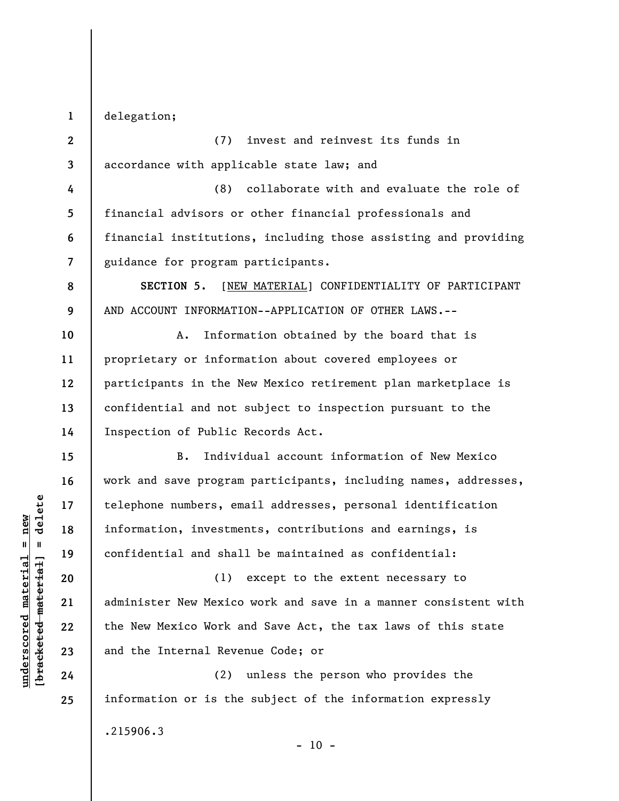**1**  delegation;

**8** 

**9** 

**15** 

**16** 

**17** 

**18** 

**19** 

**20** 

**21** 

**22** 

**23** 

**24** 

**25** 

**2 3**  (7) invest and reinvest its funds in accordance with applicable state law; and

**4 5 6 7**  (8) collaborate with and evaluate the role of financial advisors or other financial professionals and financial institutions, including those assisting and providing guidance for program participants.

**SECTION 5.** [NEW MATERIAL] CONFIDENTIALITY OF PARTICIPANT AND ACCOUNT INFORMATION--APPLICATION OF OTHER LAWS.--

**10 11 12 13 14**  A. Information obtained by the board that is proprietary or information about covered employees or participants in the New Mexico retirement plan marketplace is confidential and not subject to inspection pursuant to the Inspection of Public Records Act.

B. Individual account information of New Mexico work and save program participants, including names, addresses, telephone numbers, email addresses, personal identification information, investments, contributions and earnings, is confidential and shall be maintained as confidential:

(1) except to the extent necessary to administer New Mexico work and save in a manner consistent with the New Mexico Work and Save Act, the tax laws of this state and the Internal Revenue Code; or

(2) unless the person who provides the information or is the subject of the information expressly .215906.3

 $- 10 -$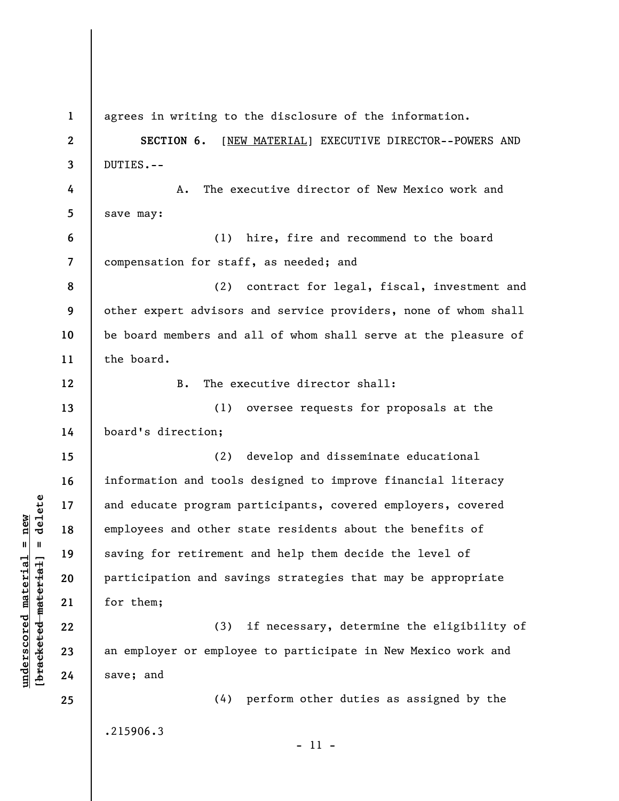**1**  agrees in writing to the disclosure of the information. **2 SECTION 6.** [NEW MATERIAL] EXECUTIVE DIRECTOR--POWERS AND DUTIES.-- **3 4**  A. The executive director of New Mexico work and **5**  save may: **6**  (1) hire, fire and recommend to the board compensation for staff, as needed; and **7**  (2) contract for legal, fiscal, investment and **8 9**  other expert advisors and service providers, none of whom shall **10**  be board members and all of whom shall serve at the pleasure of the board. **11**  B. The executive director shall: **12**  (1) oversee requests for proposals at the **13 14**  board's direction; (2) develop and disseminate educational **15**  information and tools designed to improve financial literacy **16**   $b$ racketed material] = delete **[bracketed material] = delete 17**  and educate program participants, covered employers, covered employees and other state residents about the benefits of **18**  saving for retirement and help them decide the level of **19**  participation and savings strategies that may be appropriate **20**  for them; **21**  (3) if necessary, determine the eligibility of **22**  an employer or employee to participate in New Mexico work and **23**  save; and **24**  (4) perform other duties as assigned by the **25**  .215906.3 - 11 -

**underscored material = new**

 $underscored material = new$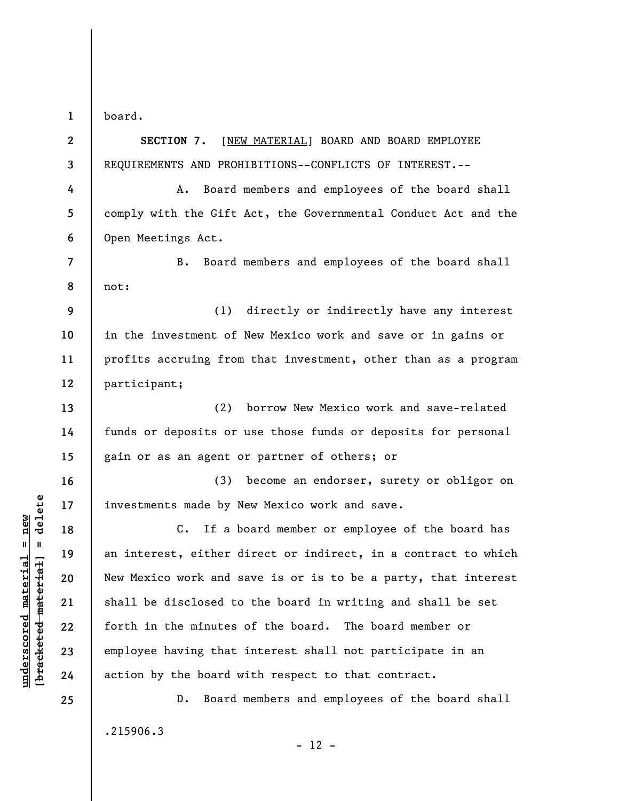**1**  board.

**2** 

**3** 

**7** 

**8** 

**13** 

**14** 

**15** 

**16** 

**17** 

**18** 

**19** 

**20** 

**21** 

**22** 

**23** 

**24** 

**25** 

**SECTION 7.** [NEW MATERIAL] BOARD AND BOARD EMPLOYEE REQUIREMENTS AND PROHIBITIONS--CONFLICTS OF INTEREST.--

**4 5 6**  A. Board members and employees of the board shall comply with the Gift Act, the Governmental Conduct Act and the Open Meetings Act.

B. Board members and employees of the board shall not:

**9 10 11 12**  (1) directly or indirectly have any interest in the investment of New Mexico work and save or in gains or profits accruing from that investment, other than as a program participant;

(2) borrow New Mexico work and save-related funds or deposits or use those funds or deposits for personal gain or as an agent or partner of others; or

(3) become an endorser, surety or obligor on investments made by New Mexico work and save.

C. If a board member or employee of the board has an interest, either direct or indirect, in a contract to which New Mexico work and save is or is to be a party, that interest shall be disclosed to the board in writing and shall be set forth in the minutes of the board. The board member or employee having that interest shall not participate in an action by the board with respect to that contract.

D. Board members and employees of the board shall .215906.3  $- 12 -$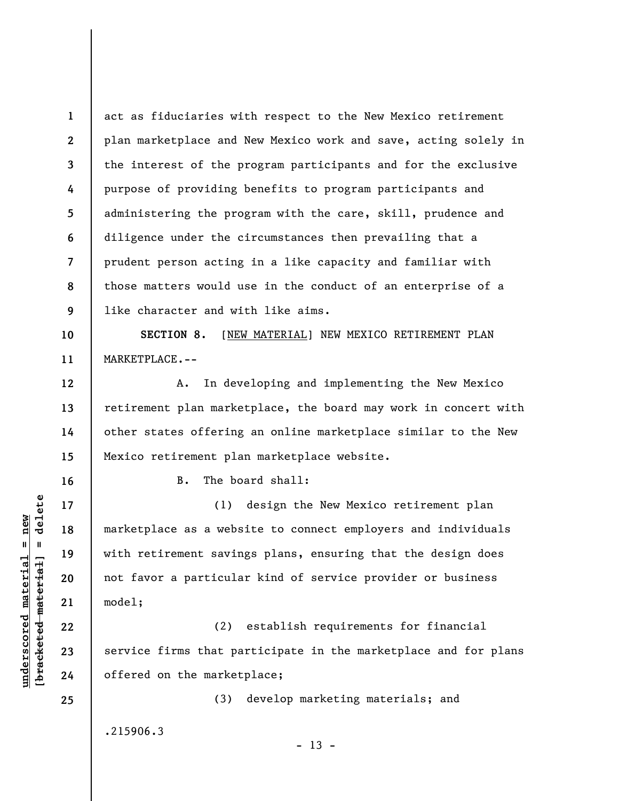**1 2 3 4 5 6 7 8 9**  act as fiduciaries with respect to the New Mexico retirement plan marketplace and New Mexico work and save, acting solely in the interest of the program participants and for the exclusive purpose of providing benefits to program participants and administering the program with the care, skill, prudence and diligence under the circumstances then prevailing that a prudent person acting in a like capacity and familiar with those matters would use in the conduct of an enterprise of a like character and with like aims.

**10 11 SECTION 8.** [NEW MATERIAL] NEW MEXICO RETIREMENT PLAN MARKETPLACE.--

A. In developing and implementing the New Mexico retirement plan marketplace, the board may work in concert with other states offering an online marketplace similar to the New Mexico retirement plan marketplace website.

B. The board shall:

(1) design the New Mexico retirement plan marketplace as a website to connect employers and individuals with retirement savings plans, ensuring that the design does not favor a particular kind of service provider or business model;

(2) establish requirements for financial service firms that participate in the marketplace and for plans offered on the marketplace;

(3) develop marketing materials; and

.215906.3

 $- 13 -$ 

 $\frac{1}{2}$  of  $\frac{1}{2}$  and  $\frac{1}{2}$  and  $\frac{1}{2}$  and  $\frac{1}{2}$  and  $\frac{1}{2}$  and  $\frac{1}{2}$  and  $\frac{1}{2}$  and  $\frac{1}{2}$  and  $\frac{1}{2}$  and  $\frac{1}{2}$  and  $\frac{1}{2}$  and  $\frac{1}{2}$  and  $\frac{1}{2}$  and  $\frac{1}{2}$  and  $\frac{1}{2}$  an **[bracketed material] = delete**  $underscored material = new$ **underscored material = new**

**12** 

**13** 

**14** 

**15** 

**16** 

**17** 

**18** 

**19** 

**20** 

**21** 

**22** 

**23** 

**24** 

**25**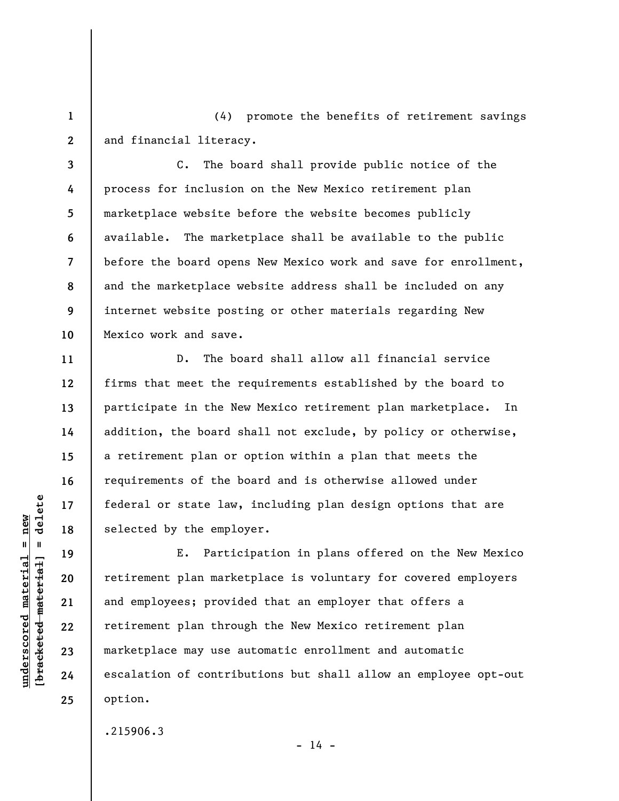(4) promote the benefits of retirement savings and financial literacy.

**3 4 5 6 7 8 9 10**  C. The board shall provide public notice of the process for inclusion on the New Mexico retirement plan marketplace website before the website becomes publicly available. The marketplace shall be available to the public before the board opens New Mexico work and save for enrollment, and the marketplace website address shall be included on any internet website posting or other materials regarding New Mexico work and save.

D. The board shall allow all financial service firms that meet the requirements established by the board to participate in the New Mexico retirement plan marketplace. In addition, the board shall not exclude, by policy or otherwise, a retirement plan or option within a plan that meets the requirements of the board and is otherwise allowed under federal or state law, including plan design options that are selected by the employer.

E. Participation in plans offered on the New Mexico retirement plan marketplace is voluntary for covered employers and employees; provided that an employer that offers a retirement plan through the New Mexico retirement plan marketplace may use automatic enrollment and automatic escalation of contributions but shall allow an employee opt-out option.

 $- 14 -$ 

.215906.3

 $\frac{1}{2}$  of  $\frac{1}{2}$  and  $\frac{1}{2}$  and  $\frac{1}{2}$  and  $\frac{1}{2}$  and  $\frac{1}{2}$  and  $\frac{1}{2}$  and  $\frac{1}{2}$  and  $\frac{1}{2}$  and  $\frac{1}{2}$  and  $\frac{1}{2}$  and  $\frac{1}{2}$  and  $\frac{1}{2}$  and  $\frac{1}{2}$  and  $\frac{1}{2}$  and  $\frac{1}{2}$  an **[bracketed material] = delete**  $underscored material = new$ **underscored material = new**

**1** 

**2** 

**11** 

**12** 

**13** 

**14** 

**15** 

**16** 

**17** 

**18** 

**19** 

**20** 

**21** 

**22** 

**23** 

**24** 

**25**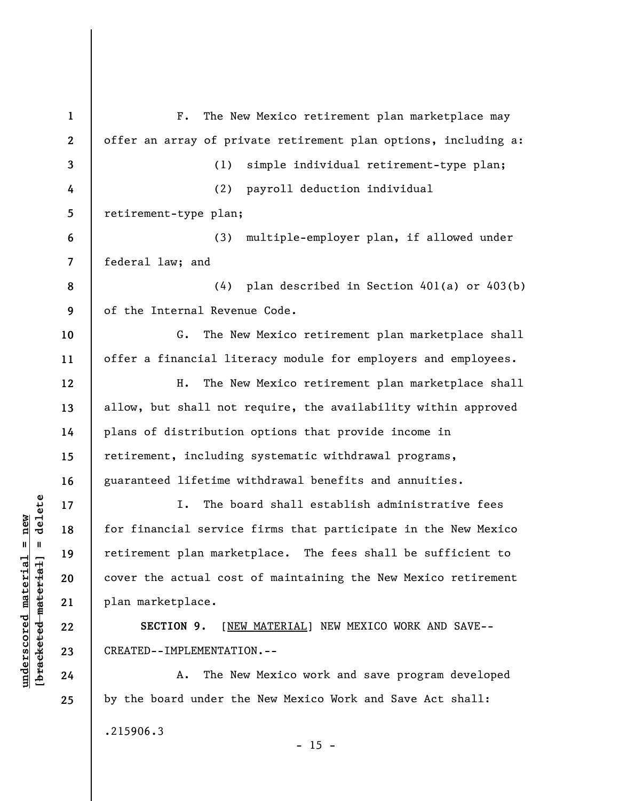| $\mathbf{1}$             | The New Mexico retirement plan marketplace may<br>$F$ .         |
|--------------------------|-----------------------------------------------------------------|
| $\boldsymbol{2}$         | offer an array of private retirement plan options, including a: |
| $\overline{3}$           | simple individual retirement-type plan;<br>(1)                  |
| 4                        | (2)<br>payroll deduction individual                             |
| 5                        | retirement-type plan;                                           |
| 6                        | multiple-employer plan, if allowed under<br>(3)                 |
| $\overline{\mathcal{L}}$ | federal law; and                                                |
| 8                        | (4) plan described in Section 401(a) or 403(b)                  |
| 9                        | of the Internal Revenue Code.                                   |
| 10                       | The New Mexico retirement plan marketplace shall<br>G.          |
| 11                       | offer a financial literacy module for employers and employees.  |
| 12                       | The New Mexico retirement plan marketplace shall<br>н.          |
| 13                       | allow, but shall not require, the availability within approved  |
| 14                       | plans of distribution options that provide income in            |
| 15                       | retirement, including systematic withdrawal programs,           |
| 16                       | guaranteed lifetime withdrawal benefits and annuities.          |
| 17                       | The board shall establish administrative fees<br>I.             |
| 18                       | for financial service firms that participate in the New Mexico  |
| 19                       | retirement plan marketplace. The fees shall be sufficient to    |
| 20                       | cover the actual cost of maintaining the New Mexico retirement  |
| 21                       | plan marketplace.                                               |
| 22                       | [NEW MATERIAL] NEW MEXICO WORK AND SAVE--<br>SECTION 9.         |
| 23                       | CREATED--IMPLEMENTATION.--                                      |
| 24                       | The New Mexico work and save program developed<br>Α.            |
| 25                       | by the board under the New Mexico Work and Save Act shall:      |
|                          | .215906.3<br>15                                                 |

 $[bracketeed-materiat] = delete$ **[bracketed material] = delete**  $underscored material = new$ **underscored material = new**

- 15 -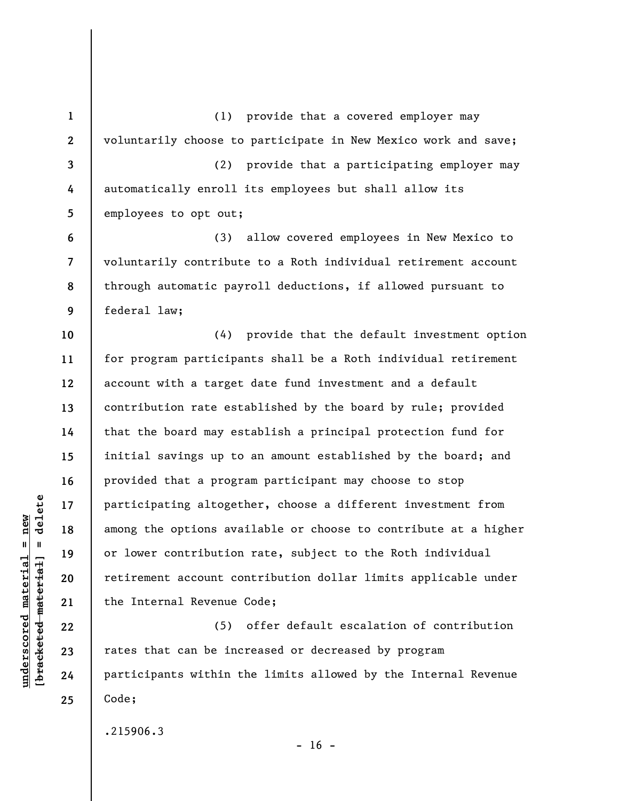**1 2 3 4 5 6 7 8 9 10 11 12 13 14 15 16 17 18 19 20 21 22 23 24 25**  (1) provide that a covered employer may voluntarily choose to participate in New Mexico work and save; (2) provide that a participating employer may automatically enroll its employees but shall allow its employees to opt out; (3) allow covered employees in New Mexico to voluntarily contribute to a Roth individual retirement account through automatic payroll deductions, if allowed pursuant to federal law; (4) provide that the default investment option for program participants shall be a Roth individual retirement account with a target date fund investment and a default contribution rate established by the board by rule; provided that the board may establish a principal protection fund for initial savings up to an amount established by the board; and provided that a program participant may choose to stop participating altogether, choose a different investment from among the options available or choose to contribute at a higher or lower contribution rate, subject to the Roth individual retirement account contribution dollar limits applicable under the Internal Revenue Code; (5) offer default escalation of contribution rates that can be increased or decreased by program participants within the limits allowed by the Internal Revenue Code;

.215906.3

 $- 16 -$ 

 $\frac{1}{2}$  of  $\frac{1}{2}$  and  $\frac{1}{2}$  and  $\frac{1}{2}$  and  $\frac{1}{2}$  and  $\frac{1}{2}$  and  $\frac{1}{2}$  and  $\frac{1}{2}$  and  $\frac{1}{2}$  and  $\frac{1}{2}$  and  $\frac{1}{2}$  and  $\frac{1}{2}$  and  $\frac{1}{2}$  and  $\frac{1}{2}$  and  $\frac{1}{2}$  and  $\frac{1}{2}$  an **[bracketed material] = delete**  $underscored material = new$ **underscored material = new**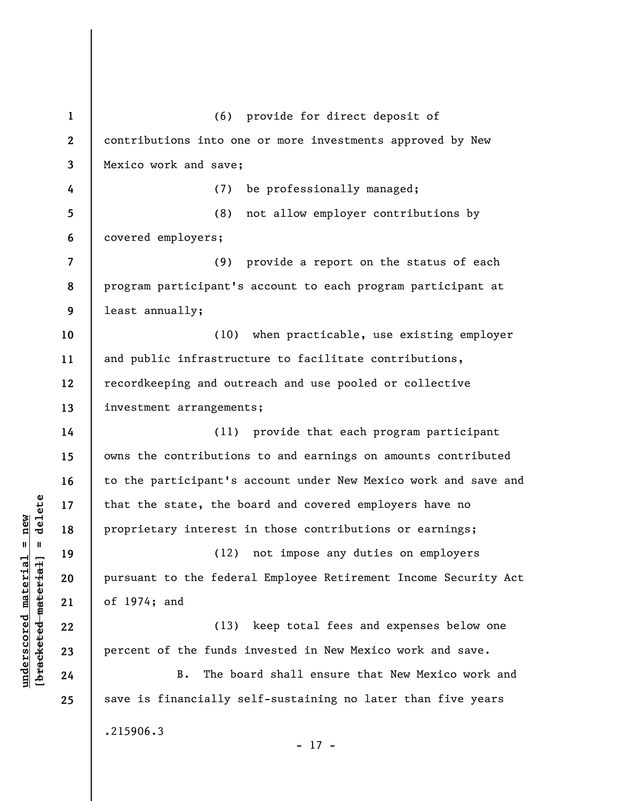**1 2 3 4 5 6 7 8 9 10 11 12 13 14 15 16 17 18 19 20 21 22 23 24 25**  (6) provide for direct deposit of contributions into one or more investments approved by New Mexico work and save; (7) be professionally managed; (8) not allow employer contributions by covered employers; (9) provide a report on the status of each program participant's account to each program participant at least annually; (10) when practicable, use existing employer and public infrastructure to facilitate contributions, recordkeeping and outreach and use pooled or collective investment arrangements; (11) provide that each program participant owns the contributions to and earnings on amounts contributed to the participant's account under New Mexico work and save and that the state, the board and covered employers have no proprietary interest in those contributions or earnings; (12) not impose any duties on employers pursuant to the federal Employee Retirement Income Security Act of 1974; and (13) keep total fees and expenses below one percent of the funds invested in New Mexico work and save. B. The board shall ensure that New Mexico work and save is financially self-sustaining no later than five years .215906.3 - 17 -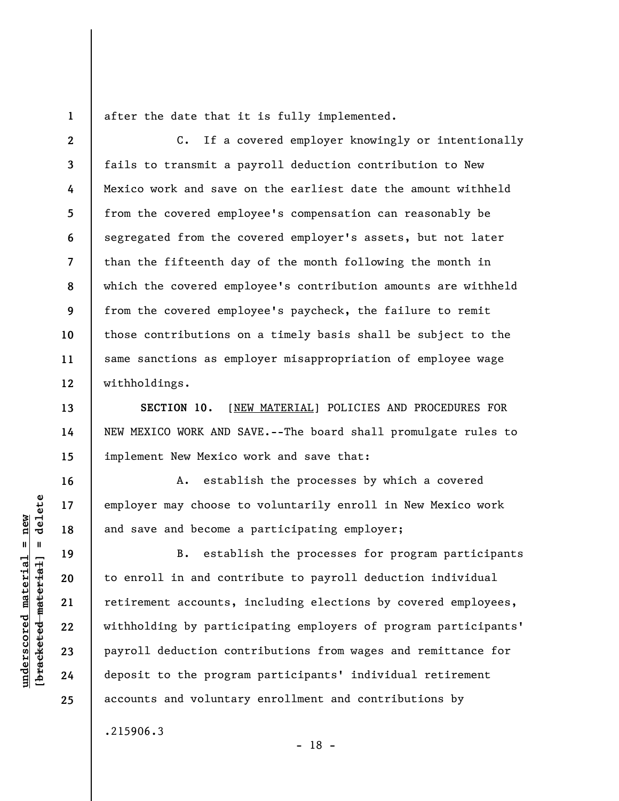**1** 

**13** 

**14** 

**15** 

**16** 

**17** 

**18** 

**19** 

**20** 

**21** 

**22** 

**23** 

**24** 

**25** 

after the date that it is fully implemented.

**2 3 4 5 6 7 8 9 10 11 12**  C. If a covered employer knowingly or intentionally fails to transmit a payroll deduction contribution to New Mexico work and save on the earliest date the amount withheld from the covered employee's compensation can reasonably be segregated from the covered employer's assets, but not later than the fifteenth day of the month following the month in which the covered employee's contribution amounts are withheld from the covered employee's paycheck, the failure to remit those contributions on a timely basis shall be subject to the same sanctions as employer misappropriation of employee wage withholdings.

**SECTION 10.** [NEW MATERIAL] POLICIES AND PROCEDURES FOR NEW MEXICO WORK AND SAVE.--The board shall promulgate rules to implement New Mexico work and save that:

A. establish the processes by which a covered employer may choose to voluntarily enroll in New Mexico work and save and become a participating employer;

B. establish the processes for program participants to enroll in and contribute to payroll deduction individual retirement accounts, including elections by covered employees, withholding by participating employers of program participants' payroll deduction contributions from wages and remittance for deposit to the program participants' individual retirement accounts and voluntary enrollment and contributions by

- 18 -

.215906.3

 $\frac{1}{2}$  of  $\frac{1}{2}$  and  $\frac{1}{2}$  and  $\frac{1}{2}$  and  $\frac{1}{2}$  and  $\frac{1}{2}$  and  $\frac{1}{2}$  and  $\frac{1}{2}$  and  $\frac{1}{2}$  and  $\frac{1}{2}$  and  $\frac{1}{2}$  and  $\frac{1}{2}$  and  $\frac{1}{2}$  and  $\frac{1}{2}$  and  $\frac{1}{2}$  and  $\frac{1}{2}$  an **[bracketed material] = delete**  $underscored material = new$ **underscored material = new**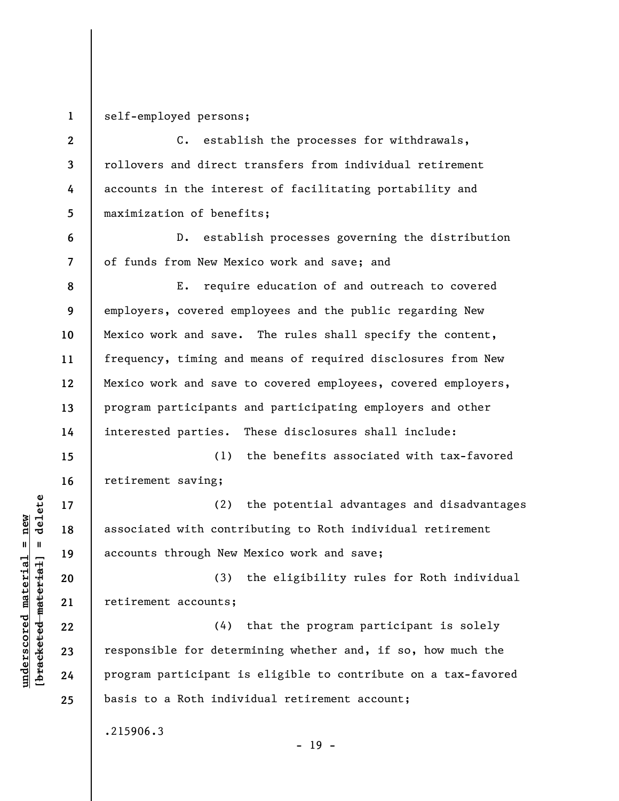**1** 

**6** 

**7** 

**17** 

**18** 

**19** 

**21** 

**22** 

**23** 

**24** 

**25** 

self-employed persons;

**2 3 4 5**  C. establish the processes for withdrawals, rollovers and direct transfers from individual retirement accounts in the interest of facilitating portability and maximization of benefits;

D. establish processes governing the distribution of funds from New Mexico work and save; and

**8 9 10 11 12 13 14**  E. require education of and outreach to covered employers, covered employees and the public regarding New Mexico work and save. The rules shall specify the content, frequency, timing and means of required disclosures from New Mexico work and save to covered employees, covered employers, program participants and participating employers and other interested parties. These disclosures shall include:

**15 16**  (1) the benefits associated with tax-favored retirement saving;

(2) the potential advantages and disadvantages associated with contributing to Roth individual retirement accounts through New Mexico work and save;

**20**  (3) the eligibility rules for Roth individual retirement accounts;

(4) that the program participant is solely responsible for determining whether and, if so, how much the program participant is eligible to contribute on a tax-favored basis to a Roth individual retirement account;

.215906.3

- 19 -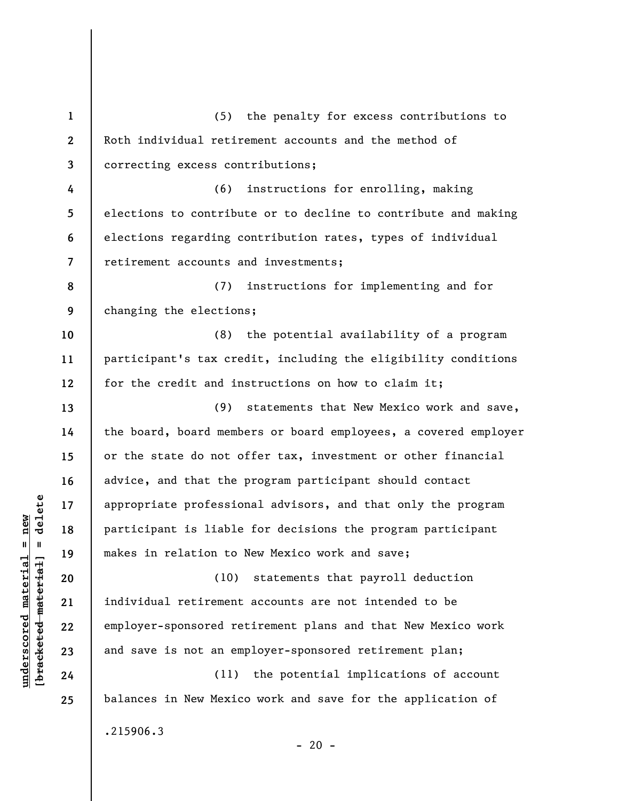**1 2 3 4 5 6 7 8 9 10 11 12 13 14 15 16 17 18 19 20 21 22 23 24 25**  (5) the penalty for excess contributions to Roth individual retirement accounts and the method of correcting excess contributions; (6) instructions for enrolling, making elections to contribute or to decline to contribute and making elections regarding contribution rates, types of individual retirement accounts and investments; (7) instructions for implementing and for changing the elections; (8) the potential availability of a program participant's tax credit, including the eligibility conditions for the credit and instructions on how to claim it; (9) statements that New Mexico work and save, the board, board members or board employees, a covered employer or the state do not offer tax, investment or other financial advice, and that the program participant should contact appropriate professional advisors, and that only the program participant is liable for decisions the program participant makes in relation to New Mexico work and save; (10) statements that payroll deduction individual retirement accounts are not intended to be employer-sponsored retirement plans and that New Mexico work and save is not an employer-sponsored retirement plan; (11) the potential implications of account balances in New Mexico work and save for the application of .215906.3

 $\frac{1}{2}$  intereted material = delete **[bracketed material] = delete**  $underscored material = new$ **underscored material = new**

 $- 20 -$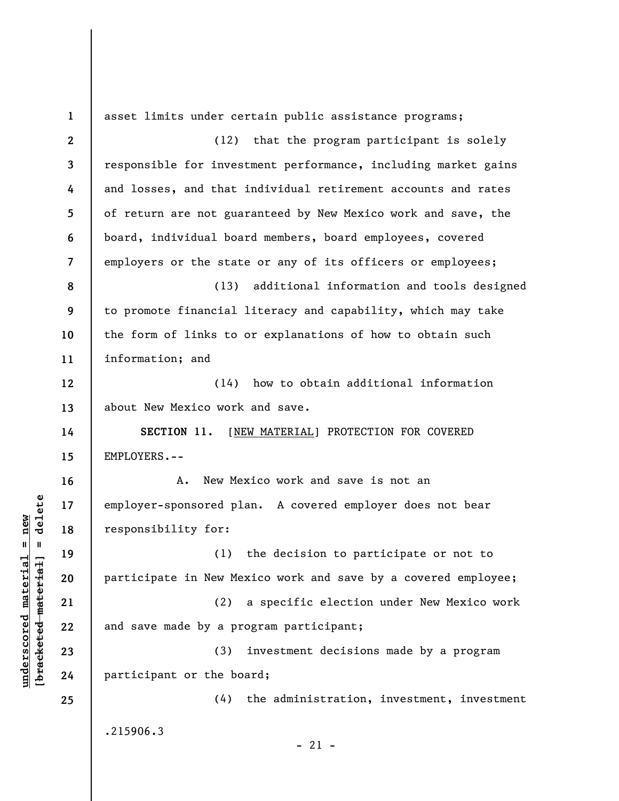**1 2 3 4 5 6 7 8 9 10 11 12 13 14 15 16 17 18 19 20 21 22 23 24 25**  asset limits under certain public assistance programs; (12) that the program participant is solely responsible for investment performance, including market gains and losses, and that individual retirement accounts and rates of return are not guaranteed by New Mexico work and save, the board, individual board members, board employees, covered employers or the state or any of its officers or employees; (13) additional information and tools designed to promote financial literacy and capability, which may take the form of links to or explanations of how to obtain such information; and (14) how to obtain additional information about New Mexico work and save. **SECTION 11.** [NEW MATERIAL] PROTECTION FOR COVERED EMPLOYERS.-- A. New Mexico work and save is not an employer-sponsored plan. A covered employer does not bear responsibility for: (1) the decision to participate or not to participate in New Mexico work and save by a covered employee; (2) a specific election under New Mexico work and save made by a program participant; (3) investment decisions made by a program participant or the board; (4) the administration, investment, investment .215906.3  $-21 -$ 

**underscored material = new [bracketed material] = delete**

 $\frac{1}{2}$  intereted material = delete  $underscored material = new$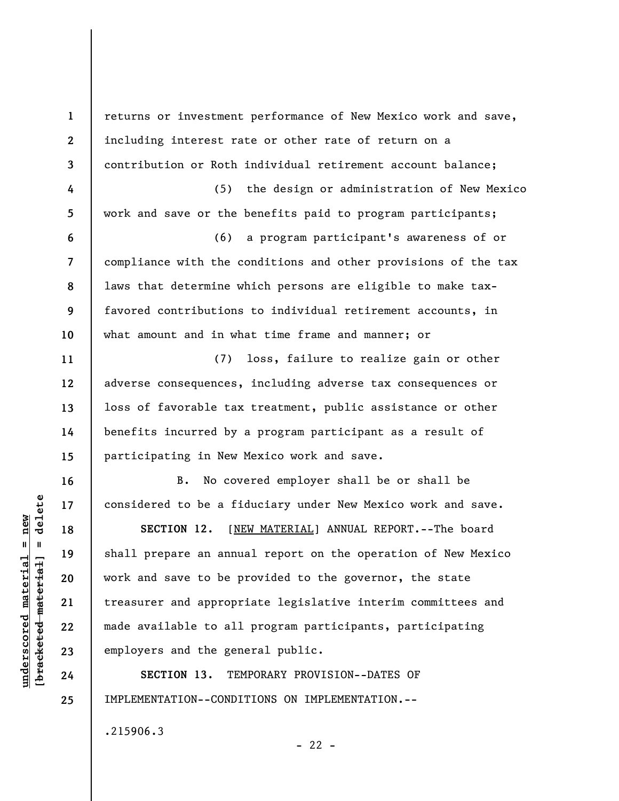**1 2 3 4 5 6 7 8 9 10 11 12 13 14 15 16 17 18 19 20 21 22 23 24 25**  returns or investment performance of New Mexico work and save, including interest rate or other rate of return on a contribution or Roth individual retirement account balance; (5) the design or administration of New Mexico work and save or the benefits paid to program participants; (6) a program participant's awareness of or compliance with the conditions and other provisions of the tax laws that determine which persons are eligible to make taxfavored contributions to individual retirement accounts, in what amount and in what time frame and manner; or (7) loss, failure to realize gain or other adverse consequences, including adverse tax consequences or loss of favorable tax treatment, public assistance or other benefits incurred by a program participant as a result of participating in New Mexico work and save. B. No covered employer shall be or shall be considered to be a fiduciary under New Mexico work and save. **SECTION 12.** [NEW MATERIAL] ANNUAL REPORT.--The board shall prepare an annual report on the operation of New Mexico work and save to be provided to the governor, the state treasurer and appropriate legislative interim committees and made available to all program participants, participating employers and the general public. **SECTION 13.** TEMPORARY PROVISION--DATES OF IMPLEMENTATION--CONDITIONS ON IMPLEMENTATION.--

.215906.3

 $- 22 -$